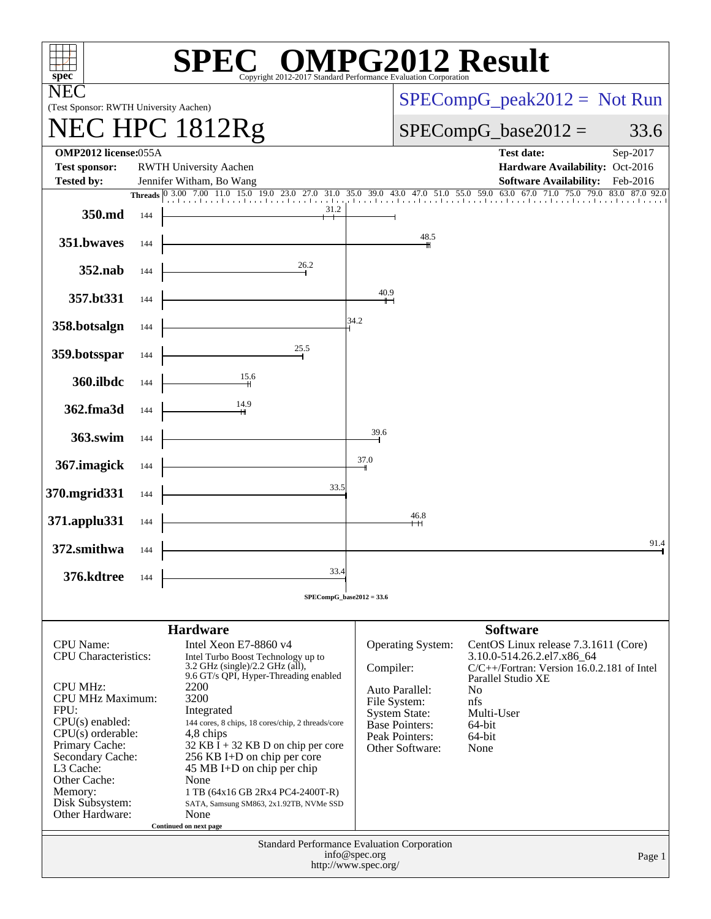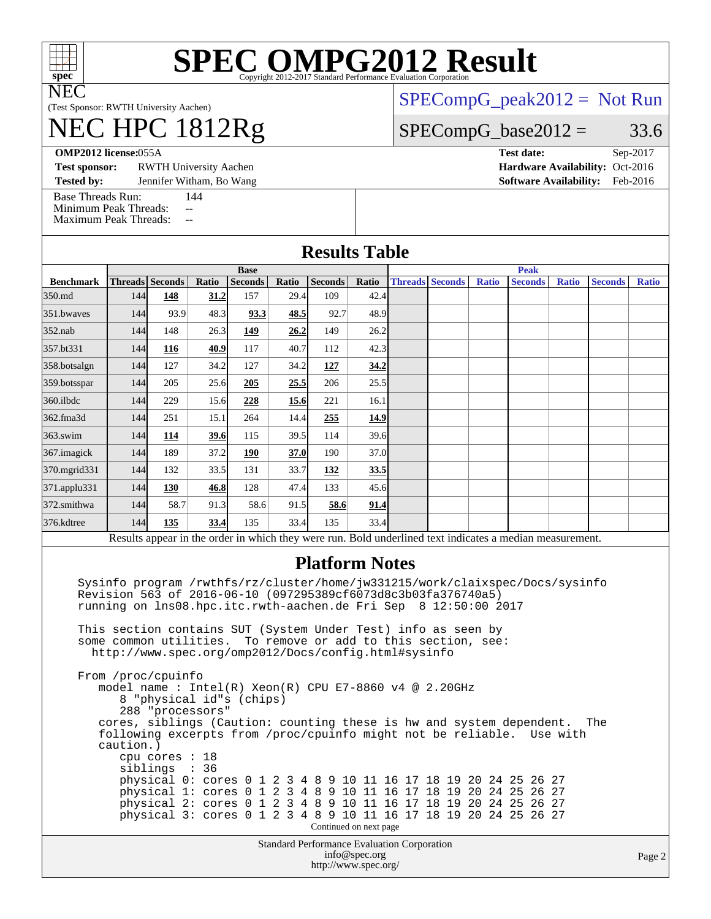

# **[SPEC OMPG2012 Result](http://www.spec.org/auto/omp2012/Docs/result-fields.html#SPECOMPG2012Result)**

(Test Sponsor: RWTH University Aachen)

## NEC HPC 1812Rg

[SPECompG\\_peak2012 =](http://www.spec.org/auto/omp2012/Docs/result-fields.html#SPECompGpeak2012) Not Run

#### $SPECompG_base2012 = 33.6$  $SPECompG_base2012 = 33.6$

**[OMP2012 license:](http://www.spec.org/auto/omp2012/Docs/result-fields.html#OMP2012license)**055A **[Test date:](http://www.spec.org/auto/omp2012/Docs/result-fields.html#Testdate)** Sep-2017

**[Test sponsor:](http://www.spec.org/auto/omp2012/Docs/result-fields.html#Testsponsor)** RWTH University Aachen **[Hardware Availability:](http://www.spec.org/auto/omp2012/Docs/result-fields.html#HardwareAvailability)** Oct-2016

**[Tested by:](http://www.spec.org/auto/omp2012/Docs/result-fields.html#Testedby)** Jennifer Witham, Bo Wang **[Software Availability:](http://www.spec.org/auto/omp2012/Docs/result-fields.html#SoftwareAvailability)** Feb-2016

[Base Threads Run:](http://www.spec.org/auto/omp2012/Docs/result-fields.html#BaseThreadsRun) 144 [Minimum Peak Threads:](http://www.spec.org/auto/omp2012/Docs/result-fields.html#MinimumPeakThreads)

| imum i can Tincaus<br><b>Maximum Peak Threads:</b><br>$\sim$ $\sim$ |                        |                                                                                                       |       |                |       |                                                                                                                                                                                        |                        |  |                        |              |                                                                                                                                                                                                                                                                                                                                                                                                                                |              |                |              |
|---------------------------------------------------------------------|------------------------|-------------------------------------------------------------------------------------------------------|-------|----------------|-------|----------------------------------------------------------------------------------------------------------------------------------------------------------------------------------------|------------------------|--|------------------------|--------------|--------------------------------------------------------------------------------------------------------------------------------------------------------------------------------------------------------------------------------------------------------------------------------------------------------------------------------------------------------------------------------------------------------------------------------|--------------|----------------|--------------|
|                                                                     |                        |                                                                                                       |       |                |       | <b>Results Table</b>                                                                                                                                                                   |                        |  |                        |              |                                                                                                                                                                                                                                                                                                                                                                                                                                |              |                |              |
|                                                                     | <b>Base</b>            |                                                                                                       |       |                |       | <b>Peak</b>                                                                                                                                                                            |                        |  |                        |              |                                                                                                                                                                                                                                                                                                                                                                                                                                |              |                |              |
| <b>Benchmark</b>                                                    | <b>Threads</b> Seconds |                                                                                                       | Ratio | <b>Seconds</b> | Ratio | <b>Seconds</b>                                                                                                                                                                         | Ratio                  |  | <b>Threads Seconds</b> | <b>Ratio</b> | <b>Seconds</b>                                                                                                                                                                                                                                                                                                                                                                                                                 | <b>Ratio</b> | <b>Seconds</b> | <b>Ratio</b> |
| 350.md                                                              | 144                    | 148                                                                                                   | 31.2  | 157            | 29.4  | 109                                                                                                                                                                                    | 42.4                   |  |                        |              |                                                                                                                                                                                                                                                                                                                                                                                                                                |              |                |              |
| 351.bwayes                                                          | 144                    | 93.9                                                                                                  | 48.3  | 93.3           | 48.5  | 92.7                                                                                                                                                                                   | 48.9                   |  |                        |              |                                                                                                                                                                                                                                                                                                                                                                                                                                |              |                |              |
| 352.nab                                                             | 144                    | 148                                                                                                   | 26.3  | 149            | 26.2  | 149                                                                                                                                                                                    | 26.2                   |  |                        |              |                                                                                                                                                                                                                                                                                                                                                                                                                                |              |                |              |
| 357.bt331                                                           | 144                    | 116                                                                                                   | 40.9  | 117            | 40.7  | 112                                                                                                                                                                                    | 42.3                   |  |                        |              |                                                                                                                                                                                                                                                                                                                                                                                                                                |              |                |              |
| 358.botsalgn                                                        | 144                    | 127                                                                                                   | 34.2  | 127            | 34.2  | 127                                                                                                                                                                                    | 34.2                   |  |                        |              |                                                                                                                                                                                                                                                                                                                                                                                                                                |              |                |              |
| 359.botsspar                                                        | 144                    | 205                                                                                                   | 25.6  | 205            | 25.5  | 206                                                                                                                                                                                    | 25.5                   |  |                        |              |                                                                                                                                                                                                                                                                                                                                                                                                                                |              |                |              |
| 360.ilbdc                                                           | 144                    | 229                                                                                                   | 15.6  | 228            | 15.6  | 221                                                                                                                                                                                    | 16.1                   |  |                        |              |                                                                                                                                                                                                                                                                                                                                                                                                                                |              |                |              |
| 362.fma3d                                                           | 144                    | 251                                                                                                   | 15.1  | 264            | 14.4  | 255                                                                                                                                                                                    | 14.9                   |  |                        |              |                                                                                                                                                                                                                                                                                                                                                                                                                                |              |                |              |
| 363.swim                                                            | 144                    | 114                                                                                                   | 39.6  | 115            | 39.5  | 114                                                                                                                                                                                    | 39.6                   |  |                        |              |                                                                                                                                                                                                                                                                                                                                                                                                                                |              |                |              |
| 367. imagick                                                        | 144                    | 189                                                                                                   | 37.2  | 190            | 37.0  | 190                                                                                                                                                                                    | 37.0                   |  |                        |              |                                                                                                                                                                                                                                                                                                                                                                                                                                |              |                |              |
| 370.mgrid331                                                        | 144                    | 132                                                                                                   | 33.5  | 131            | 33.7  | 132                                                                                                                                                                                    | 33.5                   |  |                        |              |                                                                                                                                                                                                                                                                                                                                                                                                                                |              |                |              |
| 371.applu331                                                        | 144                    | <b>130</b>                                                                                            | 46.8  | 128            | 47.4  | 133                                                                                                                                                                                    | 45.6                   |  |                        |              |                                                                                                                                                                                                                                                                                                                                                                                                                                |              |                |              |
| 372.smithwa                                                         | 144                    | 58.7                                                                                                  | 91.3  | 58.6           | 91.5  | 58.6                                                                                                                                                                                   | 91.4                   |  |                        |              |                                                                                                                                                                                                                                                                                                                                                                                                                                |              |                |              |
| 376.kdtree                                                          | 144                    | 135                                                                                                   | 33.4  | 135            | 33.4  | 135                                                                                                                                                                                    | 33.4                   |  |                        |              |                                                                                                                                                                                                                                                                                                                                                                                                                                |              |                |              |
|                                                                     |                        |                                                                                                       |       |                |       |                                                                                                                                                                                        |                        |  |                        |              | Results appear in the order in which they were run. Bold underlined text indicates a median measurement.                                                                                                                                                                                                                                                                                                                       |              |                |              |
|                                                                     |                        |                                                                                                       |       |                |       | <b>Platform Notes</b><br>Revision 563 of 2016-06-10 (097295389cf6073d8c3b03fa376740a5)<br>running on lns08.hpc.itc.rwth-aachen.de Fri Sep 8 12:50:00 2017                              |                        |  |                        |              | Sysinfo program /rwthfs/rz/cluster/home/jw331215/work/claixspec/Docs/sysinfo                                                                                                                                                                                                                                                                                                                                                   |              |                |              |
|                                                                     |                        |                                                                                                       |       |                |       | This section contains SUT (System Under Test) info as seen by<br>some common utilities. To remove or add to this section, see:<br>http://www.spec.org/omp2012/Docs/config.html#sysinfo |                        |  |                        |              |                                                                                                                                                                                                                                                                                                                                                                                                                                |              |                |              |
|                                                                     | caution.)              | From /proc/cpuinfo<br>8 "physical id"s (chips)<br>288 "processors"<br>cpu cores : 18<br>siblings : 36 |       |                |       | model name: $Intel(R)$ Xeon(R) CPU E7-8860 v4 @ 2.20GHz                                                                                                                                |                        |  |                        |              | cores, siblings (Caution: counting these is hw and system dependent.<br>following excerpts from /proc/cpuinfo might not be reliable.  Use with<br>physical 0: cores 0 1 2 3 4 8 9 10 11 16 17 18 19 20 24 25 26 27<br>physical 1: cores 0 1 2 3 4 8 9 10 11 16 17 18 19 20 24 25 26 27<br>physical 2: cores 0 1 2 3 4 8 9 10 11 16 17 18 19 20 24 25 26 27<br>physical 3: cores 0 1 2 3 4 8 9 10 11 16 17 18 19 20 24 25 26 27 |              | The            |              |
|                                                                     |                        |                                                                                                       |       |                |       |                                                                                                                                                                                        | Continued on next page |  |                        |              |                                                                                                                                                                                                                                                                                                                                                                                                                                |              |                |              |
|                                                                     |                        |                                                                                                       |       |                |       | Standard Performance Evaluation Corporation<br>http://www.spec.org/                                                                                                                    | info@spec.org          |  |                        |              |                                                                                                                                                                                                                                                                                                                                                                                                                                |              |                | Page 2       |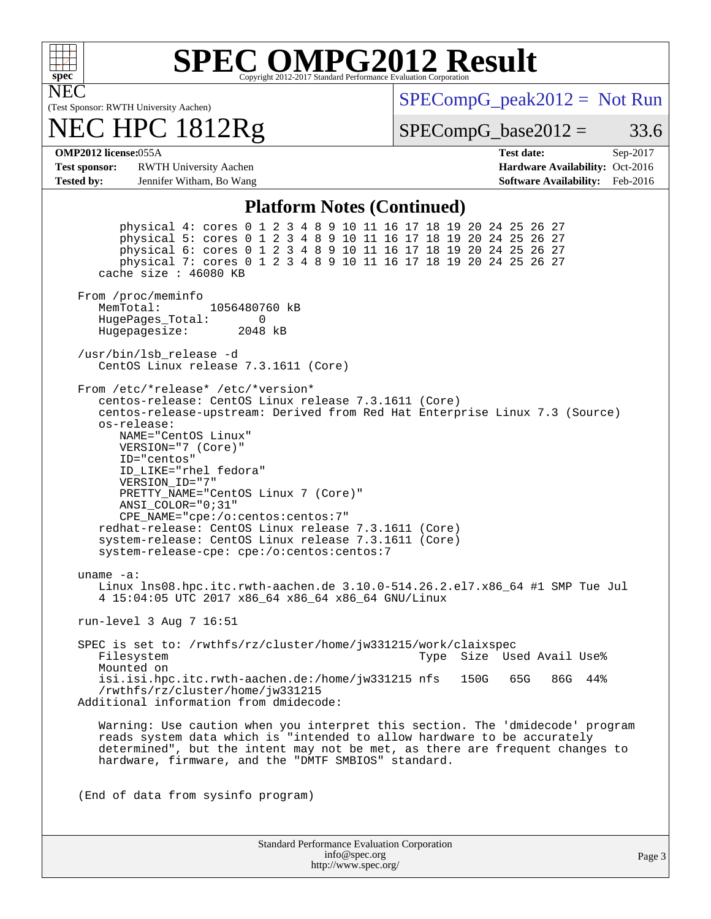

## **[SPEC OMPG2012 Result](http://www.spec.org/auto/omp2012/Docs/result-fields.html#SPECOMPG2012Result)**

(Test Sponsor: RWTH University Aachen)

### NEC HPC 1812Rg

 $SPECompG_peak2012 = Not Run$  $SPECompG_peak2012 = Not Run$ 

 $SPECompG_base2012 = 33.6$  $SPECompG_base2012 = 33.6$ 

#### **[OMP2012 license:](http://www.spec.org/auto/omp2012/Docs/result-fields.html#OMP2012license)**055A **[Test date:](http://www.spec.org/auto/omp2012/Docs/result-fields.html#Testdate)** Sep-2017

**[Test sponsor:](http://www.spec.org/auto/omp2012/Docs/result-fields.html#Testsponsor)** RWTH University Aachen **[Hardware Availability:](http://www.spec.org/auto/omp2012/Docs/result-fields.html#HardwareAvailability)** Oct-2016 **[Tested by:](http://www.spec.org/auto/omp2012/Docs/result-fields.html#Testedby)** Jennifer Witham, Bo Wang **[Software Availability:](http://www.spec.org/auto/omp2012/Docs/result-fields.html#SoftwareAvailability)** Feb-2016

#### **[Platform Notes \(Continued\)](http://www.spec.org/auto/omp2012/Docs/result-fields.html#PlatformNotes)**

 physical 4: cores 0 1 2 3 4 8 9 10 11 16 17 18 19 20 24 25 26 27 physical 5: cores 0 1 2 3 4 8 9 10 11 16 17 18 19 20 24 25 26 27 physical 6: cores 0 1 2 3 4 8 9 10 11 16 17 18 19 20 24 25 26 27 physical 7: cores 0 1 2 3 4 8 9 10 11 16 17 18 19 20 24 25 26 27 cache size : 46080 KB From /proc/meminfo MemTotal: 1056480760 kB HugePages\_Total: 0<br>Hugepagesize: 2048 kB Hugepagesize: /usr/bin/lsb\_release -d CentOS Linux release 7.3.1611 (Core) From /etc/\*release\* /etc/\*version\* centos-release: CentOS Linux release 7.3.1611 (Core) centos-release-upstream: Derived from Red Hat Enterprise Linux 7.3 (Source) os-release: NAME="CentOS Linux" VERSION="7 (Core)" ID="centos" ID\_LIKE="rhel fedora" VERSION\_ID="7" PRETTY\_NAME="CentOS Linux 7 (Core)" ANSI\_COLOR="0;31" CPE\_NAME="cpe:/o:centos:centos:7" redhat-release: CentOS Linux release 7.3.1611 (Core) system-release: CentOS Linux release 7.3.1611 (Core) system-release-cpe: cpe:/o:centos:centos:7 uname -a: Linux lns08.hpc.itc.rwth-aachen.de 3.10.0-514.26.2.el7.x86\_64 #1 SMP Tue Jul 4 15:04:05 UTC 2017 x86\_64 x86\_64 x86\_64 GNU/Linux run-level 3 Aug 7 16:51 SPEC is set to: /rwthfs/rz/cluster/home/jw331215/work/claixspec<br>Filesystem 1998 Type Size Used Avail Use% Mounted on isi.isi.hpc.itc.rwth-aachen.de:/home/jw331215 nfs 150G 65G 86G 44% /rwthfs/rz/cluster/home/jw331215 Additional information from dmidecode: Warning: Use caution when you interpret this section. The 'dmidecode' program reads system data which is "intended to allow hardware to be accurately determined", but the intent may not be met, as there are frequent changes to hardware, firmware, and the "DMTF SMBIOS" standard. (End of data from sysinfo program)

| <b>Standard Performance Evaluation Corporation</b> |
|----------------------------------------------------|
| info@spec.org                                      |
| http://www.spec.org/                               |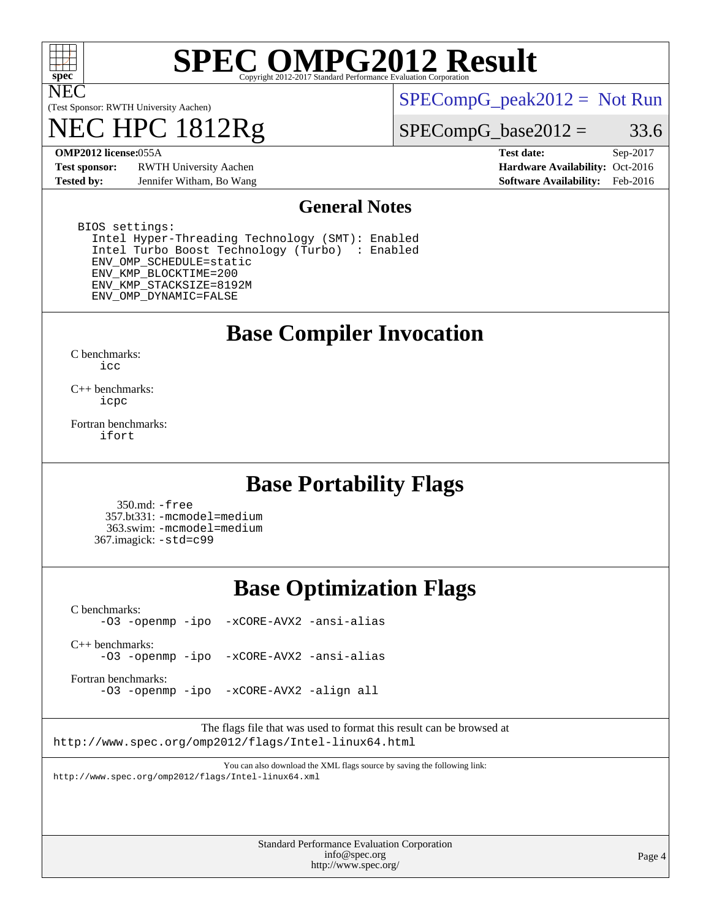

## **[SPEC OMPG2012 Result](http://www.spec.org/auto/omp2012/Docs/result-fields.html#SPECOMPG2012Result)**

(Test Sponsor: RWTH University Aachen)

## 1812Rg

 $SPECompG_peak2012 = Not Run$  $SPECompG_peak2012 = Not Run$ 

#### $SPECompG_base2012 = 33.6$  $SPECompG_base2012 = 33.6$

**[Test sponsor:](http://www.spec.org/auto/omp2012/Docs/result-fields.html#Testsponsor)** RWTH University Aachen **[Hardware Availability:](http://www.spec.org/auto/omp2012/Docs/result-fields.html#HardwareAvailability)** Oct-2016 **[Tested by:](http://www.spec.org/auto/omp2012/Docs/result-fields.html#Testedby)** Jennifer Witham, Bo Wang **[Software Availability:](http://www.spec.org/auto/omp2012/Docs/result-fields.html#SoftwareAvailability)** Feb-2016

**[OMP2012 license:](http://www.spec.org/auto/omp2012/Docs/result-fields.html#OMP2012license)**055A **[Test date:](http://www.spec.org/auto/omp2012/Docs/result-fields.html#Testdate)** Sep-2017

#### **[General Notes](http://www.spec.org/auto/omp2012/Docs/result-fields.html#GeneralNotes)**

 BIOS settings: Intel Hyper-Threading Technology (SMT): Enabled Intel Turbo Boost Technology (Turbo) : Enabled ENV\_OMP\_SCHEDULE=static ENV\_KMP\_BLOCKTIME=200 ENV\_KMP\_STACKSIZE=8192M ENV\_OMP\_DYNAMIC=FALSE

### **[Base Compiler Invocation](http://www.spec.org/auto/omp2012/Docs/result-fields.html#BaseCompilerInvocation)**

[C benchmarks](http://www.spec.org/auto/omp2012/Docs/result-fields.html#Cbenchmarks): [icc](http://www.spec.org/omp2012/results/res2017q4/omp2012-20170927-00125.flags.html#user_CCbase_intel_icc_a87c68a857bc5ec5362391a49d3a37a6)

[C++ benchmarks:](http://www.spec.org/auto/omp2012/Docs/result-fields.html#CXXbenchmarks) [icpc](http://www.spec.org/omp2012/results/res2017q4/omp2012-20170927-00125.flags.html#user_CXXbase_intel_icpc_2d899f8d163502b12eb4a60069f80c1c)

[Fortran benchmarks](http://www.spec.org/auto/omp2012/Docs/result-fields.html#Fortranbenchmarks): [ifort](http://www.spec.org/omp2012/results/res2017q4/omp2012-20170927-00125.flags.html#user_FCbase_intel_ifort_8a5e5e06b19a251bdeaf8fdab5d62f20)

### **[Base Portability Flags](http://www.spec.org/auto/omp2012/Docs/result-fields.html#BasePortabilityFlags)**

 350.md: [-free](http://www.spec.org/omp2012/results/res2017q4/omp2012-20170927-00125.flags.html#user_baseFPORTABILITY350_md_f-FR_e51be0673775d2012b3310fa5323f530) 357.bt331: [-mcmodel=medium](http://www.spec.org/omp2012/results/res2017q4/omp2012-20170927-00125.flags.html#user_baseFPORTABILITY357_bt331_f-mcmodel_3a41622424bdd074c4f0f2d2f224c7e5) 363.swim: [-mcmodel=medium](http://www.spec.org/omp2012/results/res2017q4/omp2012-20170927-00125.flags.html#user_baseFPORTABILITY363_swim_f-mcmodel_3a41622424bdd074c4f0f2d2f224c7e5) 367.imagick: [-std=c99](http://www.spec.org/omp2012/results/res2017q4/omp2012-20170927-00125.flags.html#user_baseCPORTABILITY367_imagick_f-std_2ec6533b6e06f1c4a6c9b78d9e9cde24)

### **[Base Optimization Flags](http://www.spec.org/auto/omp2012/Docs/result-fields.html#BaseOptimizationFlags)**

[C benchmarks](http://www.spec.org/auto/omp2012/Docs/result-fields.html#Cbenchmarks): [-O3](http://www.spec.org/omp2012/results/res2017q4/omp2012-20170927-00125.flags.html#user_CCbase_f-O3) [-openmp](http://www.spec.org/omp2012/results/res2017q4/omp2012-20170927-00125.flags.html#user_CCbase_f-openmp) [-ipo](http://www.spec.org/omp2012/results/res2017q4/omp2012-20170927-00125.flags.html#user_CCbase_f-ipo_84062ab53814f613187d02344b8f49a7) [-xCORE-AVX2](http://www.spec.org/omp2012/results/res2017q4/omp2012-20170927-00125.flags.html#user_CCbase_f-xCORE-AVX2) [-ansi-alias](http://www.spec.org/omp2012/results/res2017q4/omp2012-20170927-00125.flags.html#user_CCbase_f-ansi-alias)

[C++ benchmarks:](http://www.spec.org/auto/omp2012/Docs/result-fields.html#CXXbenchmarks) [-O3](http://www.spec.org/omp2012/results/res2017q4/omp2012-20170927-00125.flags.html#user_CXXbase_f-O3) [-openmp](http://www.spec.org/omp2012/results/res2017q4/omp2012-20170927-00125.flags.html#user_CXXbase_f-openmp) [-ipo](http://www.spec.org/omp2012/results/res2017q4/omp2012-20170927-00125.flags.html#user_CXXbase_f-ipo_84062ab53814f613187d02344b8f49a7) [-xCORE-AVX2](http://www.spec.org/omp2012/results/res2017q4/omp2012-20170927-00125.flags.html#user_CXXbase_f-xCORE-AVX2) [-ansi-alias](http://www.spec.org/omp2012/results/res2017q4/omp2012-20170927-00125.flags.html#user_CXXbase_f-ansi-alias)

[Fortran benchmarks](http://www.spec.org/auto/omp2012/Docs/result-fields.html#Fortranbenchmarks):

[-O3](http://www.spec.org/omp2012/results/res2017q4/omp2012-20170927-00125.flags.html#user_FCbase_f-O3) [-openmp](http://www.spec.org/omp2012/results/res2017q4/omp2012-20170927-00125.flags.html#user_FCbase_f-openmp) [-ipo](http://www.spec.org/omp2012/results/res2017q4/omp2012-20170927-00125.flags.html#user_FCbase_f-ipo_84062ab53814f613187d02344b8f49a7) [-xCORE-AVX2](http://www.spec.org/omp2012/results/res2017q4/omp2012-20170927-00125.flags.html#user_FCbase_f-xCORE-AVX2) [-align all](http://www.spec.org/omp2012/results/res2017q4/omp2012-20170927-00125.flags.html#user_FCbase_f-align_1ebfa66158b49aff21b037afc4046011)

The flags file that was used to format this result can be browsed at <http://www.spec.org/omp2012/flags/Intel-linux64.html>

You can also download the XML flags source by saving the following link: <http://www.spec.org/omp2012/flags/Intel-linux64.xml>

> Standard Performance Evaluation Corporation [info@spec.org](mailto:info@spec.org) <http://www.spec.org/>